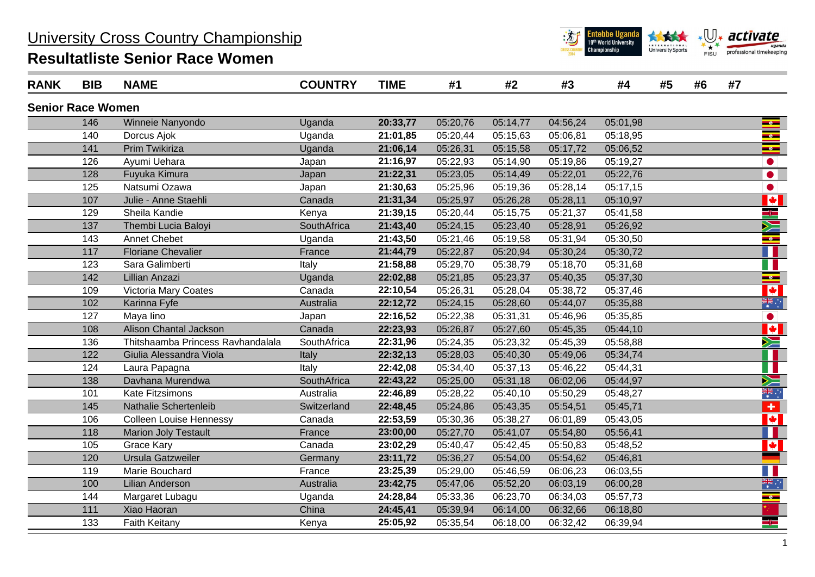## University Cross Country Championship

## **Resultatliste Senior Race Women**



| <b>RANK</b>              | <b>BIB</b> | <b>NAME</b>                       | <b>COUNTRY</b> | <b>TIME</b> | #1       | #2       | #3       | #4       | #5 | #6 | #7 |                       |
|--------------------------|------------|-----------------------------------|----------------|-------------|----------|----------|----------|----------|----|----|----|-----------------------|
| <b>Senior Race Women</b> |            |                                   |                |             |          |          |          |          |    |    |    |                       |
|                          | 146        | Winneie Nanyondo                  | Uganda         | 20:33,77    | 05:20,76 | 05:14,77 | 04:56,24 | 05:01,98 |    |    |    | $\frac{1}{\sqrt{2}}$  |
|                          | 140        | Dorcus Ajok                       | Uganda         | 21:01,85    | 05:20,44 | 05:15,63 | 05:06,81 | 05:18,95 |    |    |    | $\bullet$             |
|                          | 141        | Prim Twikiriza                    | Uganda         | 21:06,14    | 05:26,31 | 05:15,58 | 05:17,72 | 05:06,52 |    |    |    | $\frac{1}{\sqrt{2}}$  |
|                          | 126        | Ayumi Uehara                      | Japan          | 21:16,97    | 05:22,93 | 05:14,90 | 05:19,86 | 05:19,27 |    |    |    |                       |
|                          | 128        | Fuyuka Kimura                     | Japan          | 21:22,31    | 05:23,05 | 05:14,49 | 05:22,01 | 05:22,76 |    |    |    | $\bullet$             |
|                          | 125        | Natsumi Ozawa                     | Japan          | 21:30,63    | 05:25,96 | 05:19,36 | 05:28,14 | 05:17,15 |    |    |    | $\bullet$             |
|                          | 107        | Julie - Anne Staehli              | Canada         | 21:31,34    | 05:25,97 | 05:26,28 | 05:28,11 | 05:10,97 |    |    |    | <u>VI</u>             |
|                          | 129        | Sheila Kandie                     | Kenya          | 21:39,15    | 05:20,44 | 05:15,75 | 05:21,37 | 05:41,58 |    |    |    | Egel                  |
|                          | 137        | Thembi Lucia Baloyi               | SouthAfrica    | 21:43,40    | 05:24,15 | 05:23,40 | 05:28,91 | 05:26,92 |    |    |    | N                     |
|                          | 143        | <b>Annet Chebet</b>               | Uganda         | 21:43,50    | 05:21,46 | 05:19,58 | 05:31,94 | 05:30,50 |    |    |    | $\bullet$             |
|                          | 117        | <b>Floriane Chevalier</b>         | France         | 21:44,79    | 05:22,87 | 05:20,94 | 05:30,24 | 05:30,72 |    |    |    |                       |
|                          | 123        | Sara Galimberti                   | Italy          | 21:58,88    | 05:29,70 | 05:38,79 | 05:18,70 | 05:31,68 |    |    |    |                       |
|                          | 142        | Lillian Anzazi                    | Uganda         | 22:02,88    | 05:21,85 | 05:23,37 | 05:40,35 | 05:37,30 |    |    |    | $\bullet$             |
|                          | 109        | Victoria Mary Coates              | Canada         | 22:10,54    | 05:26,31 | 05:28,04 | 05:38,72 | 05:37,46 |    |    |    | ¥                     |
|                          | 102        | Karinna Fyfe                      | Australia      | 22:12,72    | 05:24,15 | 05:28,60 | 05:44,07 | 05:35,88 |    |    |    | 業立                    |
|                          | 127        | Maya lino                         | Japan          | 22:16,52    | 05:22,38 | 05:31,31 | 05:46,96 | 05:35,85 |    |    |    | $\bullet$             |
|                          | 108        | Alison Chantal Jackson            | Canada         | 22:23,93    | 05:26,87 | 05:27,60 | 05:45,35 | 05:44,10 |    |    |    | <b>VI</b>             |
|                          | 136        | Thitshaamba Princess Ravhandalala | SouthAfrica    | 22:31,96    | 05:24,35 | 05:23,32 | 05:45,39 | 05:58,88 |    |    |    | Ň                     |
|                          | 122        | Giulia Alessandra Viola           | Italy          | 22:32,13    | 05:28,03 | 05:40,30 | 05:49,06 | 05:34,74 |    |    |    |                       |
|                          | 124        | Laura Papagna                     | Italy          | 22:42,08    | 05:34,40 | 05:37,13 | 05:46,22 | 05:44,31 |    |    |    |                       |
|                          | 138        | Davhana Murendwa                  | SouthAfrica    | 22:43,22    | 05:25,00 | 05:31,18 | 06:02,06 | 05:44,97 |    |    |    | Ň                     |
|                          | 101        | Kate Fitzsimons                   | Australia      | 22:46,89    | 05:28,22 | 05:40,10 | 05:50,29 | 05:48,27 |    |    |    | ैं                    |
|                          | 145        | Nathalie Schertenleib             | Switzerland    | 22:48,45    | 05:24,86 | 05:43,35 | 05:54,51 | 05:45,71 |    |    |    | $+$                   |
|                          | 106        | <b>Colleen Louise Hennessy</b>    | Canada         | 22:53,59    | 05:30,36 | 05:38,27 | 06:01,89 | 05:43,05 |    |    |    | $\blacktriangleright$ |
|                          | 118        | <b>Marion Joly Testault</b>       | France         | 23:00,00    | 05:27,70 | 05:41,07 | 05:54,80 | 05:56,41 |    |    |    |                       |
|                          | 105        | <b>Grace Kary</b>                 | Canada         | 23:02,29    | 05:40,47 | 05:42,45 | 05:50,83 | 05:48,52 |    |    |    | $\blacktriangleright$ |
|                          | 120        | <b>Ursula Gatzweiler</b>          | Germany        | 23:11,72    | 05:36,27 | 05:54,00 | 05:54,62 | 05:46,81 |    |    |    |                       |
|                          | 119        | Marie Bouchard                    | France         | 23:25,39    | 05:29,00 | 05:46,59 | 06:06,23 | 06:03,55 |    |    |    |                       |
|                          | 100        | <b>Lilian Anderson</b>            | Australia      | 23:42,75    | 05:47,06 | 05:52,20 | 06:03,19 | 06:00,28 |    |    |    | 業業                    |
|                          | 144        | Margaret Lubagu                   | Uganda         | 24:28,84    | 05:33,36 | 06:23,70 | 06:34,03 | 05:57,73 |    |    |    | $\bullet$             |
|                          | 111        | Xiao Haoran                       | China          | 24:45,41    | 05:39,94 | 06:14,00 | 06:32,66 | 06:18,80 |    |    |    |                       |
|                          | 133        | Faith Keitany                     | Kenya          | 25:05,92    | 05:35,54 | 06:18,00 | 06:32,42 | 06:39,94 |    |    |    |                       |